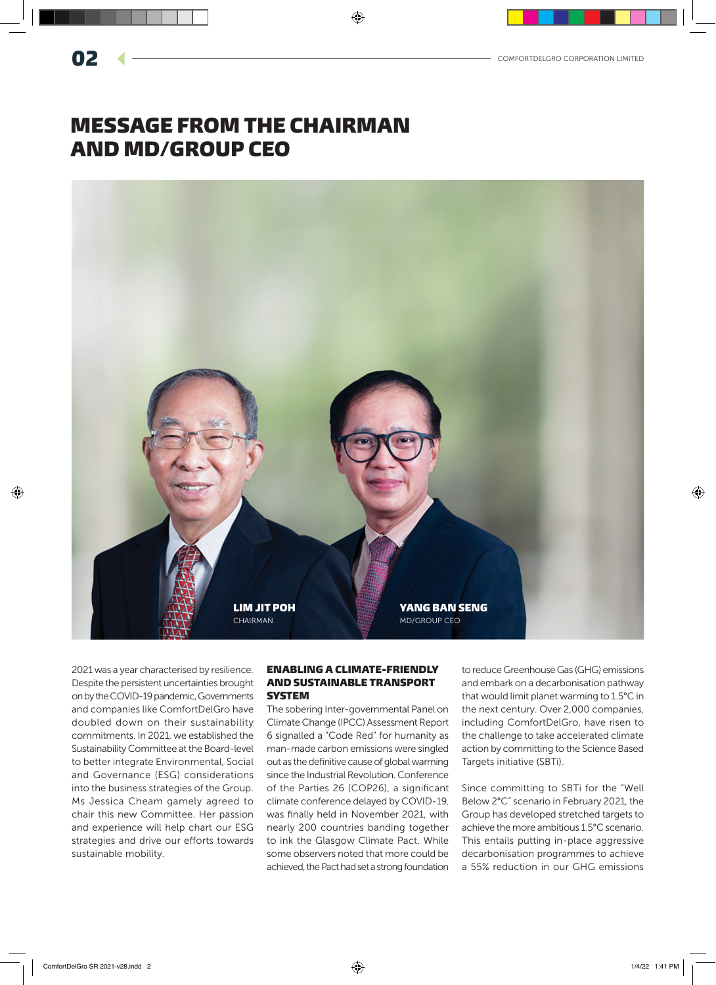# MESSAGE FROM THE CHAIRMAN AND MD/GROUP CEO



2021 was a year characterised by resilience. Despite the persistent uncertainties brought on by the COVID-19 pandemic, Governments and companies like ComfortDelGro have doubled down on their sustainability commitments. In 2021, we established the Sustainability Committee at the Board-level to better integrate Environmental, Social and Governance (ESG) considerations into the business strategies of the Group. Ms Jessica Cheam gamely agreed to chair this new Committee. Her passion and experience will help chart our ESG strategies and drive our efforts towards sustainable mobility.

## ENABLING A CLIMATE-FRIENDLY AND SUSTAINABLE TRANSPORT **SYSTEM**

The sobering Inter-governmental Panel on Climate Change (IPCC) Assessment Report 6 signalled a "Code Red" for humanity as man-made carbon emissions were singled out as the definitive cause of global warming since the Industrial Revolution. Conference of the Parties 26 (COP26), a significant climate conference delayed by COVID-19, was finally held in November 2021, with nearly 200 countries banding together to ink the Glasgow Climate Pact. While some observers noted that more could be achieved, the Pact had set a strong foundation to reduce Greenhouse Gas (GHG) emissions and embark on a decarbonisation pathway that would limit planet warming to 1.5°C in the next century. Over 2,000 companies, including ComfortDelGro, have risen to the challenge to take accelerated climate action by committing to the Science Based Targets initiative (SBTi).

Since committing to SBTi for the "Well Below 2°C" scenario in February 2021, the Group has developed stretched targets to achieve the more ambitious 1.5°C scenario. This entails putting in-place aggressive decarbonisation programmes to achieve a 55% reduction in our GHG emissions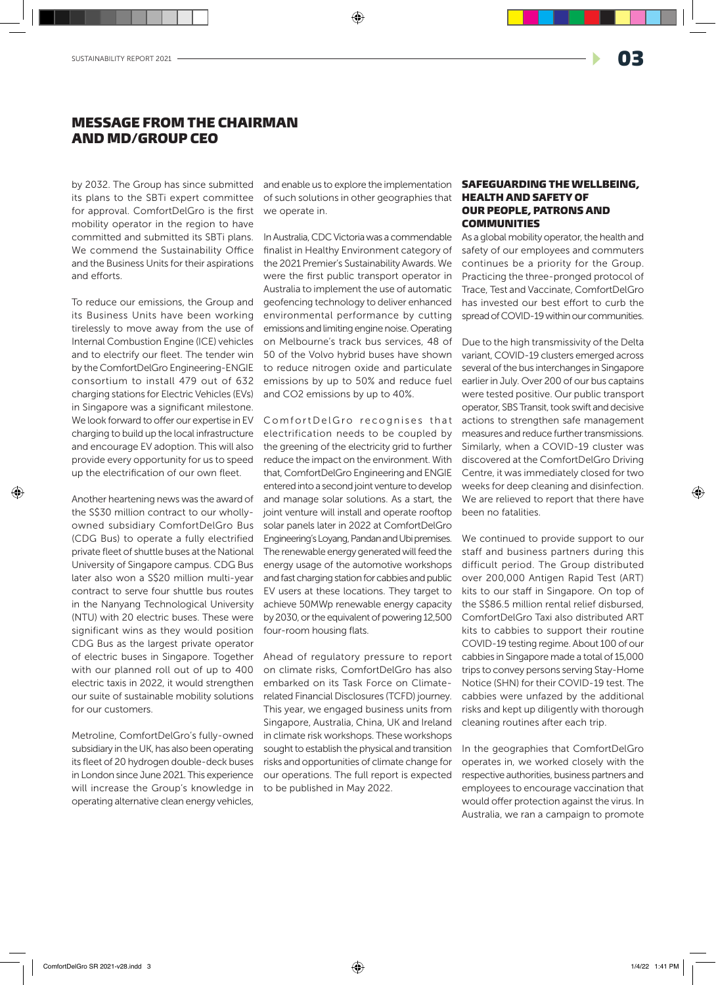## MESSAGE FROM THE CHAIRMAN AND MD/GROUP CEO

by 2032. The Group has since submitted its plans to the SBTi expert committee for approval. ComfortDelGro is the first mobility operator in the region to have committed and submitted its SBTi plans. We commend the Sustainability Office and the Business Units for their aspirations and efforts.

To reduce our emissions, the Group and its Business Units have been working tirelessly to move away from the use of Internal Combustion Engine (ICE) vehicles and to electrify our fleet. The tender win by the ComfortDelGro Engineering-ENGIE consortium to install 479 out of 632 charging stations for Electric Vehicles (EVs) in Singapore was a significant milestone. We look forward to offer our expertise in EV charging to build up the local infrastructure and encourage EV adoption. This will also provide every opportunity for us to speed up the electrification of our own fleet.

Another heartening news was the award of the S\$30 million contract to our whollyowned subsidiary ComfortDelGro Bus (CDG Bus) to operate a fully electrified private fleet of shuttle buses at the National University of Singapore campus. CDG Bus later also won a S\$20 million multi-year contract to serve four shuttle bus routes in the Nanyang Technological University (NTU) with 20 electric buses. These were significant wins as they would position CDG Bus as the largest private operator of electric buses in Singapore. Together with our planned roll out of up to 400 electric taxis in 2022, it would strengthen our suite of sustainable mobility solutions for our customers.

Metroline, ComfortDelGro's fully-owned subsidiary in the UK, has also been operating its fleet of 20 hydrogen double-deck buses in London since June 2021. This experience will increase the Group's knowledge in operating alternative clean energy vehicles,

and enable us to explore the implementation of such solutions in other geographies that we operate in.

In Australia, CDC Victoria was a commendable finalist in Healthy Environment category of the 2021 Premier's Sustainability Awards. We were the first public transport operator in Australia to implement the use of automatic geofencing technology to deliver enhanced environmental performance by cutting emissions and limiting engine noise. Operating on Melbourne's track bus services, 48 of 50 of the Volvo hybrid buses have shown to reduce nitrogen oxide and particulate emissions by up to 50% and reduce fuel and CO2 emissions by up to 40%.

Comfort Del Gro recognises that electrification needs to be coupled by the greening of the electricity grid to further reduce the impact on the environment. With that, ComfortDelGro Engineering and ENGIE entered into a second joint venture to develop and manage solar solutions. As a start, the joint venture will install and operate rooftop solar panels later in 2022 at ComfortDelGro Engineering's Loyang, Pandan and Ubi premises. The renewable energy generated will feed the energy usage of the automotive workshops and fast charging station for cabbies and public EV users at these locations. They target to achieve 50MWp renewable energy capacity by 2030, or the equivalent of powering 12,500 four-room housing flats.

Ahead of regulatory pressure to report on climate risks, ComfortDelGro has also embarked on its Task Force on Climaterelated Financial Disclosures (TCFD) journey. This year, we engaged business units from Singapore, Australia, China, UK and Ireland in climate risk workshops. These workshops sought to establish the physical and transition risks and opportunities of climate change for our operations. The full report is expected to be published in May 2022.

## SAFEGUARDING THE WELLBEING, HEALTH AND SAFETY OF OUR PEOPLE, PATRONS AND **COMMUNITIES**

As a global mobility operator, the health and safety of our employees and commuters continues be a priority for the Group. Practicing the three-pronged protocol of Trace, Test and Vaccinate, ComfortDelGro has invested our best effort to curb the spread of COVID-19 within our communities.

Due to the high transmissivity of the Delta variant, COVID-19 clusters emerged across several of the bus interchanges in Singapore earlier in July. Over 200 of our bus captains were tested positive. Our public transport operator, SBS Transit, took swift and decisive actions to strengthen safe management measures and reduce further transmissions. Similarly, when a COVID-19 cluster was discovered at the ComfortDelGro Driving Centre, it was immediately closed for two weeks for deep cleaning and disinfection. We are relieved to report that there have been no fatalities.

We continued to provide support to our staff and business partners during this difficult period. The Group distributed over 200,000 Antigen Rapid Test (ART) kits to our staff in Singapore. On top of the S\$86.5 million rental relief disbursed, ComfortDelGro Taxi also distributed ART kits to cabbies to support their routine COVID-19 testing regime. About 100 of our cabbies in Singapore made a total of 15,000 trips to convey persons serving Stay-Home Notice (SHN) for their COVID-19 test. The cabbies were unfazed by the additional risks and kept up diligently with thorough cleaning routines after each trip.

In the geographies that ComfortDelGro operates in, we worked closely with the respective authorities, business partners and employees to encourage vaccination that would offer protection against the virus. In Australia, we ran a campaign to promote